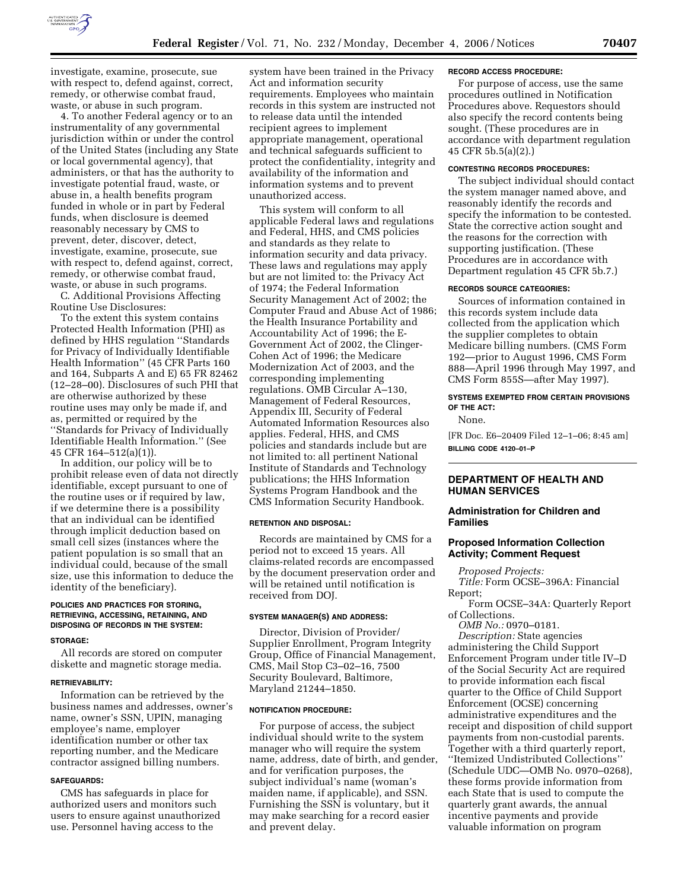

investigate, examine, prosecute, sue with respect to, defend against, correct, remedy, or otherwise combat fraud, waste, or abuse in such program.

4. To another Federal agency or to an instrumentality of any governmental jurisdiction within or under the control of the United States (including any State or local governmental agency), that administers, or that has the authority to investigate potential fraud, waste, or abuse in, a health benefits program funded in whole or in part by Federal funds, when disclosure is deemed reasonably necessary by CMS to prevent, deter, discover, detect, investigate, examine, prosecute, sue with respect to, defend against, correct, remedy, or otherwise combat fraud, waste, or abuse in such programs.

C. Additional Provisions Affecting Routine Use Disclosures:

To the extent this system contains Protected Health Information (PHI) as defined by HHS regulation ''Standards for Privacy of Individually Identifiable Health Information'' (45 CFR Parts 160 and 164, Subparts A and E) 65 FR 82462 (12–28–00). Disclosures of such PHI that are otherwise authorized by these routine uses may only be made if, and as, permitted or required by the ''Standards for Privacy of Individually Identifiable Health Information.'' (See 45 CFR 164–512(a)(1)).

In addition, our policy will be to prohibit release even of data not directly identifiable, except pursuant to one of the routine uses or if required by law, if we determine there is a possibility that an individual can be identified through implicit deduction based on small cell sizes (instances where the patient population is so small that an individual could, because of the small size, use this information to deduce the identity of the beneficiary).

# **POLICIES AND PRACTICES FOR STORING, RETRIEVING, ACCESSING, RETAINING, AND DISPOSING OF RECORDS IN THE SYSTEM:**

## **STORAGE:**

All records are stored on computer diskette and magnetic storage media.

#### **RETRIEVABILITY:**

Information can be retrieved by the business names and addresses, owner's name, owner's SSN, UPIN, managing employee's name, employer identification number or other tax reporting number, and the Medicare contractor assigned billing numbers.

#### **SAFEGUARDS:**

CMS has safeguards in place for authorized users and monitors such users to ensure against unauthorized use. Personnel having access to the

system have been trained in the Privacy Act and information security requirements. Employees who maintain records in this system are instructed not to release data until the intended recipient agrees to implement appropriate management, operational and technical safeguards sufficient to protect the confidentiality, integrity and availability of the information and information systems and to prevent unauthorized access.

This system will conform to all applicable Federal laws and regulations and Federal, HHS, and CMS policies and standards as they relate to information security and data privacy. These laws and regulations may apply but are not limited to: the Privacy Act of 1974; the Federal Information Security Management Act of 2002; the Computer Fraud and Abuse Act of 1986; the Health Insurance Portability and Accountability Act of 1996; the E-Government Act of 2002, the Clinger-Cohen Act of 1996; the Medicare Modernization Act of 2003, and the corresponding implementing regulations. OMB Circular A–130, Management of Federal Resources, Appendix III, Security of Federal Automated Information Resources also applies. Federal, HHS, and CMS policies and standards include but are not limited to: all pertinent National Institute of Standards and Technology publications; the HHS Information Systems Program Handbook and the CMS Information Security Handbook.

### **RETENTION AND DISPOSAL:**

Records are maintained by CMS for a period not to exceed 15 years. All claims-related records are encompassed by the document preservation order and will be retained until notification is received from DOJ.

### **SYSTEM MANAGER(S) AND ADDRESS:**

Director, Division of Provider/ Supplier Enrollment, Program Integrity Group, Office of Financial Management, CMS, Mail Stop C3–02–16, 7500 Security Boulevard, Baltimore, Maryland 21244–1850.

#### **NOTIFICATION PROCEDURE:**

For purpose of access, the subject individual should write to the system manager who will require the system name, address, date of birth, and gender, and for verification purposes, the subject individual's name (woman's maiden name, if applicable), and SSN. Furnishing the SSN is voluntary, but it may make searching for a record easier and prevent delay.

#### **RECORD ACCESS PROCEDURE:**

For purpose of access, use the same procedures outlined in Notification Procedures above. Requestors should also specify the record contents being sought. (These procedures are in accordance with department regulation 45 CFR 5b.5(a)(2).)

### **CONTESTING RECORDS PROCEDURES:**

The subject individual should contact the system manager named above, and reasonably identify the records and specify the information to be contested. State the corrective action sought and the reasons for the correction with supporting justification. (These Procedures are in accordance with Department regulation 45 CFR 5b.7.)

### **RECORDS SOURCE CATEGORIES:**

Sources of information contained in this records system include data collected from the application which the supplier completes to obtain Medicare billing numbers. (CMS Form 192—prior to August 1996, CMS Form 888—April 1996 through May 1997, and CMS Form 855S—after May 1997).

### **SYSTEMS EXEMPTED FROM CERTAIN PROVISIONS OF THE ACT:**

None.

[FR Doc. E6–20409 Filed 12–1–06; 8:45 am] **BILLING CODE 4120–01–P** 

## **DEPARTMENT OF HEALTH AND HUMAN SERVICES**

## **Administration for Children and Families**

## **Proposed Information Collection Activity; Comment Request**

*Proposed Projects: Title:* Form OCSE–396A: Financial Report;

Form OCSE–34A: Quarterly Report of Collections.

*OMB No.:* 0970–0181.

*Description:* State agencies administering the Child Support Enforcement Program under title IV–D of the Social Security Act are required to provide information each fiscal quarter to the Office of Child Support Enforcement (OCSE) concerning administrative expenditures and the receipt and disposition of child support payments from non-custodial parents. Together with a third quarterly report, ''Itemized Undistributed Collections'' (Schedule UDC—OMB No. 0970–0268), these forms provide information from each State that is used to compute the quarterly grant awards, the annual incentive payments and provide valuable information on program